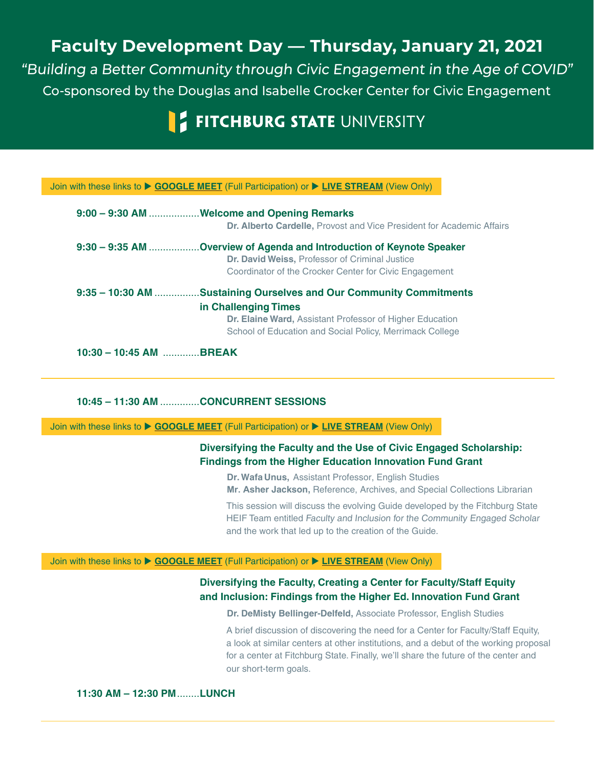## **Faculty Development Day — Thursday, January 21, 2021**

"Building a Better Community through Civic Engagement in the Age of COVID" Co-sponsored by the Douglas and Isabelle Crocker Center for Civic Engagement

# **FITCHBURG STATE UNIVERSITY**

#### Join with these links to ▶ [GOOGLE MEET](https://meet.google.com/vfz-auoc-aob) (Full Participation) or ▶ [LIVE STREAM](https://stream.meet.google.com/stream/9cc9c56f-3864-4f3f-8a4d-3473acd84c8b) (View Only)

|                   | 9:00 - 9:30 AM Welcome and Opening Remarks                            |
|-------------------|-----------------------------------------------------------------------|
|                   | Dr. Alberto Cardelle, Provost and Vice President for Academic Affairs |
|                   | 9:30 - 9:35 AM Overview of Agenda and Introduction of Keynote Speaker |
|                   | Dr. David Weiss, Professor of Criminal Justice                        |
|                   | Coordinator of the Crocker Center for Civic Engagement                |
| $9:35 - 10:30$ AM | <b>Sustaining Ourselves and Our Community Commitments</b>             |
|                   | in Challenging Times                                                  |
|                   | <b>Dr. Elaine Ward, Assistant Professor of Higher Education</b>       |
|                   | School of Education and Social Policy, Merrimack College              |
|                   |                                                                       |

**10:30 – 10:45 AM** .............**BREAK**

**10:45 – 11:30 AM** ..............**CONCURRENT SESSIONS**

Join with these links to ▶ [GOOGLE MEET](https://meet.google.com/uch-bmhb-zpj) (Full Participation) or ▶ [LIVE STREAM](https://stream.meet.google.com/stream/5419c202-7e56-456d-84e9-01d7aec405f9) (View Only)

## Diversifying the Faculty and the Use of Civic Engaged Scholarship: **Findings from the Higher Education Innovation Fund Grant**

**Dr. Wafa Unus,** Assistant Professor, English Studies

**Mr. Asher Jackson,** Reference, Archives, and Special Collections Librarian

This session will discuss the evolving Guide developed by the Fitchburg State HEIF Team entitled Faculty and Inclusion for the Community Engaged Scholar and the work that led up to the creation of the Guide.

#### Join with these links to **[GOOGLE MEET](https://meet.google.com/tis-hfxv-kwe)** (Full Participation) or **[LIVE STREAM](https://stream.meet.google.com/stream/04a6829e-a089-43b2-a0ef-1dfdd4e346f1)** (View Only)

### **Diversifying the Faculty, Creating a Center for Faculty/Staff Equity** and Inclusion: Findings from the Higher Ed. Innovation Fund Grant

**Dr. DeMisty Bellinger-Delfeld, Associate Professor, English Studies** 

A brief discussion of discovering the need for a Center for Faculty/Staff Equity, a look at similar centers at other institutions, and a debut of the working proposal for a center at Fitchburg State. Finally, we'll share the future of the center and our short-term goals.

**11:30 AM – 12:30 PM**........**LUNCH**